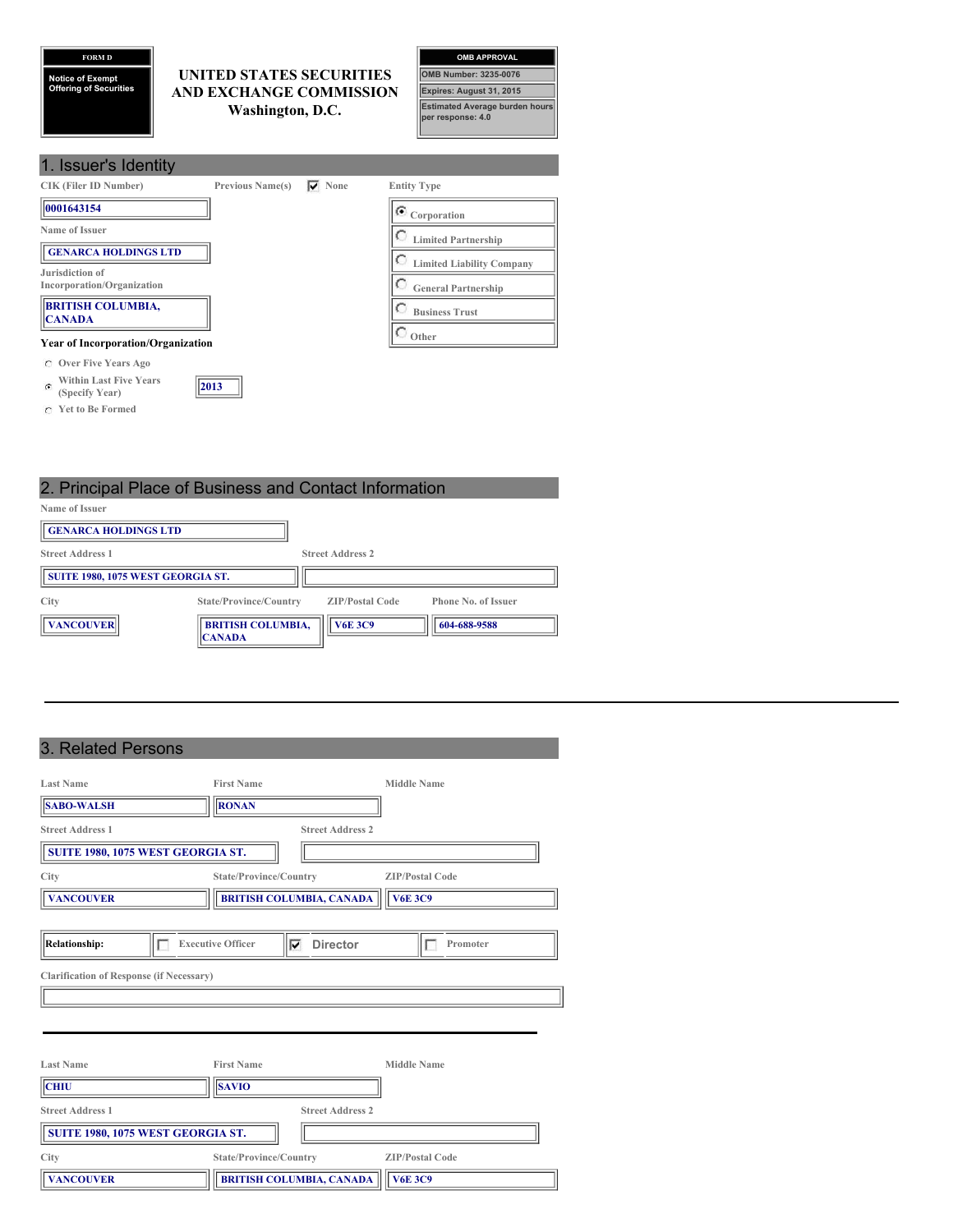**FORM D**

**Notice of Exempt Offering of Securities**

### **UNITED STATES SECURITIES AND EXCHANGE COMMISSION Washington, D.C.**

| <b>OMB APPROVAL</b>                                        |
|------------------------------------------------------------|
| <b>OMB Number: 3235-0076</b>                               |
| Expires: August 31, 2015                                   |
| <b>Estimated Average burden hours</b><br>per response: 4.0 |

| 1. Issuer's Identity                                          |                         |               |                                         |
|---------------------------------------------------------------|-------------------------|---------------|-----------------------------------------|
| <b>CIK (Filer ID Number)</b>                                  | <b>Previous Name(s)</b> | $\nabla$ None | <b>Entity Type</b>                      |
| 0001643154                                                    |                         |               | $\textcolor{blue}{\bullet}$ Corporation |
| Name of Issuer                                                |                         |               | <b>Limited Partnership</b>              |
| <b>GENARCA HOLDINGS LTD</b>                                   |                         |               | <b>Limited Liability Company</b>        |
| Jurisdiction of<br>Incorporation/Organization                 |                         |               | <b>General Partnership</b>              |
| <b>BRITISH COLUMBIA,</b><br><b>CANADA</b>                     |                         |               | <b>Business Trust</b>                   |
| <b>Year of Incorporation/Organization</b>                     |                         |               | Other                                   |
| <b>Over Five Years Ago</b><br>$\subset$                       |                         |               |                                         |
| <b>Within Last Five Years</b><br>$\epsilon$<br>(Specify Year) | 2013                    |               |                                         |

**Yet to Be Formed**

## 2. Principal Place of Business and Contact Information

| Name of Issuer                           |                                           |                         |                            |
|------------------------------------------|-------------------------------------------|-------------------------|----------------------------|
| <b>GENARCA HOLDINGS LTD</b>              |                                           |                         |                            |
| <b>Street Address 1</b>                  |                                           | <b>Street Address 2</b> |                            |
| <b>SUITE 1980, 1075 WEST GEORGIA ST.</b> |                                           |                         |                            |
| City                                     | State/Province/Country                    | <b>ZIP/Postal Code</b>  | <b>Phone No. of Issuer</b> |
| <b>VANCOUVER</b>                         | <b>BRITISH COLUMBIA,</b><br><b>CANADA</b> | <b>V6E 3C9</b>          | 604-688-9588               |

# 3. Related Persons

| <b>Last Name</b>                                | <b>First Name</b>                                | <b>Middle Name</b>     |
|-------------------------------------------------|--------------------------------------------------|------------------------|
| <b>SABO-WALSH</b>                               | <b>RONAN</b>                                     |                        |
| <b>Street Address 1</b>                         | <b>Street Address 2</b>                          |                        |
| SUITE 1980, 1075 WEST GEORGIA ST.               |                                                  |                        |
| City                                            | State/Province/Country                           | <b>ZIP/Postal Code</b> |
| <b>VANCOUVER</b>                                | <b>BRITISH COLUMBIA, CANADA</b>                  | <b>V6E 3C9</b>         |
|                                                 |                                                  |                        |
| <b>Relationship:</b>                            | <b>Director</b><br><b>Executive Officer</b><br>⊽ | Promoter               |
| <b>Clarification of Response (if Necessary)</b> |                                                  |                        |
|                                                 |                                                  |                        |
|                                                 |                                                  |                        |
|                                                 |                                                  |                        |
| <b>Last Name</b>                                | <b>First Name</b>                                | <b>Middle Name</b>     |
| <b>CHIU</b>                                     | <b>SAVIO</b>                                     |                        |
| <b>Street Address 1</b>                         | <b>Street Address 2</b>                          |                        |
| SUITE 1980, 1075 WEST GEORGIA ST.               |                                                  |                        |
| <b>City</b>                                     | State/Province/Country                           | <b>ZIP/Postal Code</b> |
| <b>VANCOUVER</b>                                | <b>BRITISH COLUMBIA, CANADA</b>                  | <b>V6E 3C9</b>         |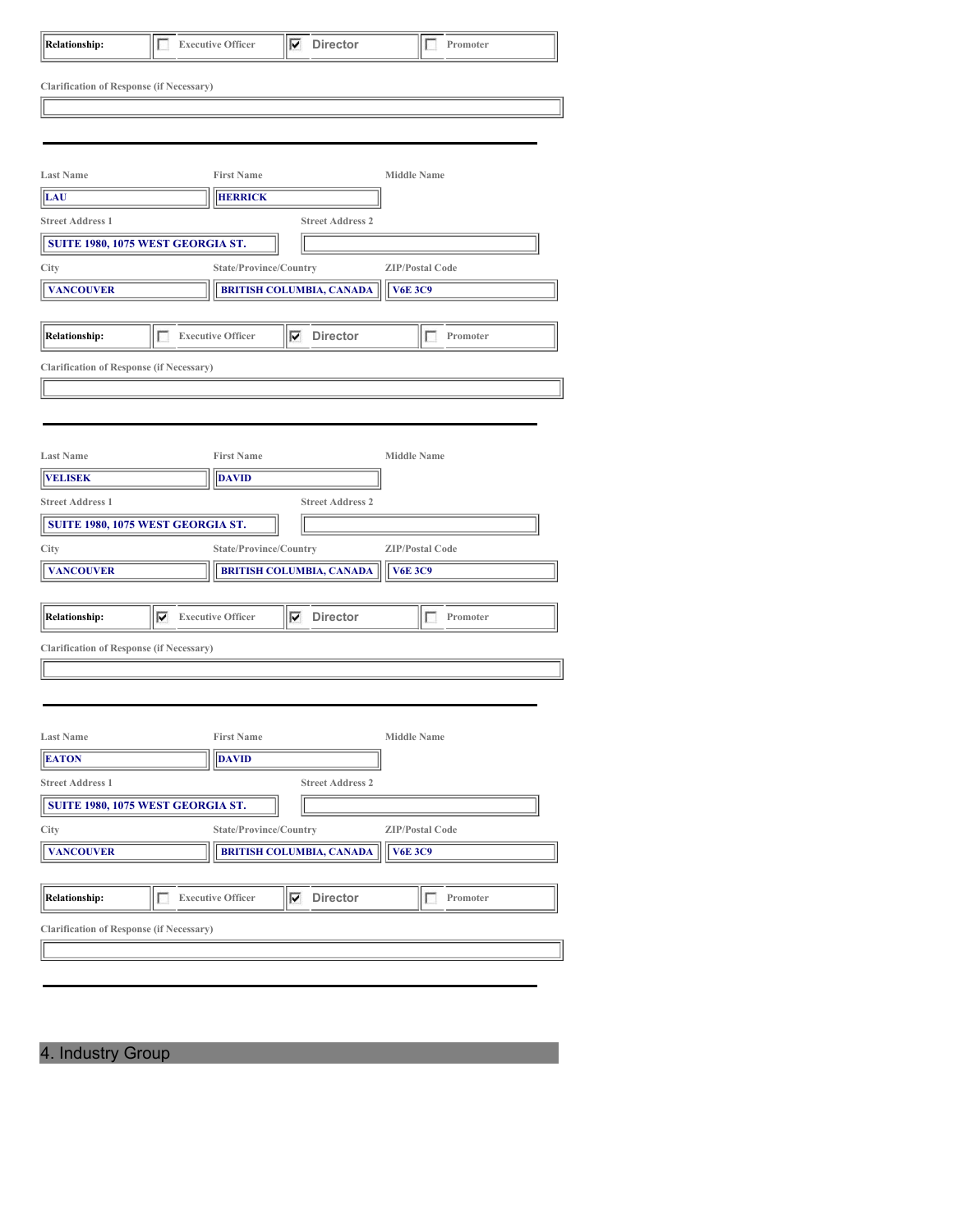| <b>Relationship:</b>                            | Г | <b>Executive Officer</b>          | ⊽ | <b>Director</b>                 |                    | Promoter               |
|-------------------------------------------------|---|-----------------------------------|---|---------------------------------|--------------------|------------------------|
| <b>Clarification of Response (if Necessary)</b> |   |                                   |   |                                 |                    |                        |
|                                                 |   |                                   |   |                                 |                    |                        |
|                                                 |   |                                   |   |                                 |                    |                        |
| <b>Last Name</b>                                |   | <b>First Name</b>                 |   |                                 | <b>Middle Name</b> |                        |
| LAU                                             |   | <b>HERRICK</b>                    |   |                                 |                    |                        |
| <b>Street Address 1</b>                         |   |                                   |   | <b>Street Address 2</b>         |                    |                        |
| SUITE 1980, 1075 WEST GEORGIA ST.               |   |                                   |   |                                 |                    |                        |
| City                                            |   | State/Province/Country            |   |                                 |                    | <b>ZIP/Postal Code</b> |
| <b>VANCOUVER</b>                                |   |                                   |   | <b>BRITISH COLUMBIA, CANADA</b> | <b>V6E 3C9</b>     |                        |
|                                                 |   |                                   |   |                                 |                    |                        |
| <b>Relationship:</b>                            | п | <b>Executive Officer</b>          | ⊽ | <b>Director</b>                 |                    | Promoter<br>П          |
| <b>Clarification of Response (if Necessary)</b> |   |                                   |   |                                 |                    |                        |
|                                                 |   |                                   |   |                                 |                    |                        |
|                                                 |   |                                   |   |                                 |                    |                        |
|                                                 |   |                                   |   |                                 |                    |                        |
| <b>Last Name</b>                                |   | <b>First Name</b>                 |   |                                 | <b>Middle Name</b> |                        |
| <b>VELISEK</b>                                  |   | <b>DAVID</b>                      |   |                                 |                    |                        |
| <b>Street Address 1</b>                         |   |                                   |   | <b>Street Address 2</b>         |                    |                        |
| SUITE 1980, 1075 WEST GEORGIA ST.               |   |                                   |   |                                 |                    |                        |
| City                                            |   | State/Province/Country            |   |                                 |                    | <b>ZIP/Postal Code</b> |
| <b>VANCOUVER</b>                                |   |                                   |   | <b>BRITISH COLUMBIA, CANADA</b> | <b>V6E 3C9</b>     |                        |
|                                                 |   |                                   |   |                                 |                    |                        |
| <b>Relationship:</b>                            | ⊽ | <b>Executive Officer</b>          |   | $\nabla$ Director               |                    | Promoter               |
| <b>Clarification of Response (if Necessary)</b> |   |                                   |   |                                 |                    |                        |
|                                                 |   |                                   |   |                                 |                    |                        |
|                                                 |   |                                   |   |                                 |                    |                        |
|                                                 |   |                                   |   |                                 |                    |                        |
| <b>Last Name</b><br><b>EATON</b>                |   | <b>First Name</b><br><b>DAVID</b> |   |                                 | <b>Middle Name</b> |                        |
| <b>Street Address 1</b>                         |   |                                   |   |                                 |                    |                        |
| SUITE 1980, 1075 WEST GEORGIA ST.               |   |                                   |   | <b>Street Address 2</b>         |                    |                        |
| City                                            |   | State/Province/Country            |   |                                 |                    | <b>ZIP/Postal Code</b> |
| <b>VANCOUVER</b>                                |   |                                   |   | <b>BRITISH COLUMBIA, CANADA</b> | <b>V6E 3C9</b>     |                        |
|                                                 |   |                                   |   |                                 |                    |                        |
| <b>Relationship:</b>                            |   | <b>Executive Officer</b>          | ⊽ | <b>Director</b>                 |                    | Promoter<br>Ł          |
| <b>Clarification of Response (if Necessary)</b> |   |                                   |   |                                 |                    |                        |
|                                                 |   |                                   |   |                                 |                    |                        |
|                                                 |   |                                   |   |                                 |                    |                        |

4. Industry Group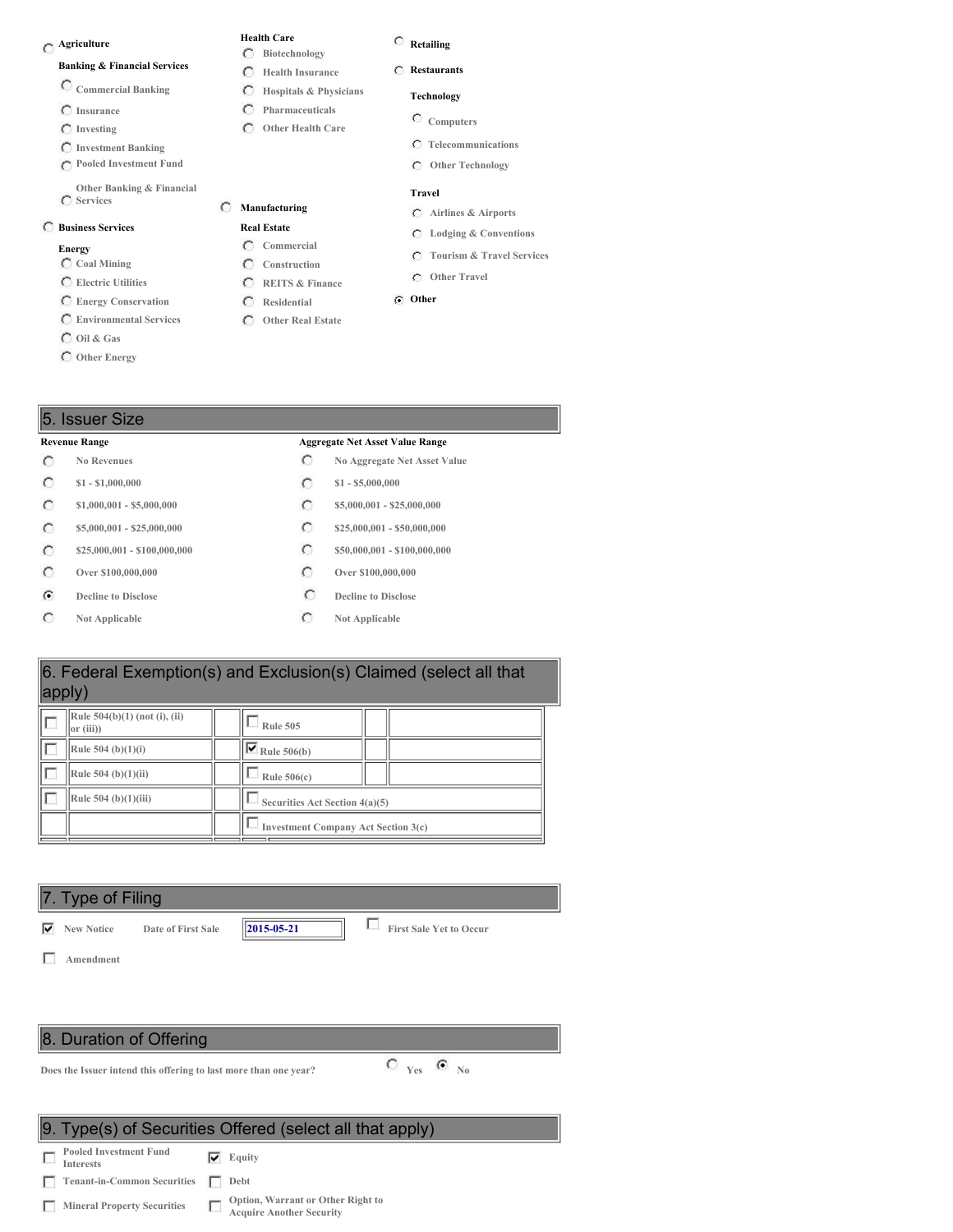### **Agriculture**

#### **Banking & Financial Services**

- **Commercial Banking**
- **Insurance**
- **Investing**
- **Investment Banking**

**Pooled Investment Fund**

**Other Banking & Financial Services**

### **Business Services**

#### **Energy**

- **Coal Mining**
- **Electric Utilities**
- **Energy Conservation**
- **Environmental Services**
- **Oil & Gas**
- **Other Energy**

### **Retailing**

**Restaurants**

**Health Care Biotechnology Health Insurance Hospitals & Physicians Pharmaceuticals Other Health Care**

 $\circ$  $\circ$ 

**Manufacturing Real Estate Commercial Construction REITS & Finance Residential Other Real Estate**

- **Technology**
- 
- **Computers**
	- **Telecommunications**
	- **Other Technology**

#### **Travel**

- **Airlines & Airports**
- **Lodging & Conventions**
- **Tourism & Travel Services**
- **Other Travel**

#### **Other**

### 5. Issuer Size

#### **Revenue Range Aggregate Net Asset Value Range**

 $\circ$  $\circ$  $\circ$  $\circ$  $\circ$  $\mathcal{C}$  $\circ$ 

### $\circ$

- **No Revenues No Aggregate Net Asset Value**
- **\$1 - \$1,000,000 \$1 - \$5,000,000**
- **\$1,000,001 - \$5,000,000 \$5,000,000 \$5,000,001 \$25,000,000**
- **\$5,000,001 - \$25,000,000 \$25,000,001 \$25,000,000 \$25,000,000 \$25,000,000**
- **\$25,000,001 - \$100,000,000 \$50,000,001 - \$100,000,000**
- **Over** \$100,000,000 **C Over** \$100,000,000
- **Decline to Disclose C Decline to Disclose**
- **Not Applicable C Not Applicable**

| 6. Federal Exemption(s) and Exclusion(s) Claimed (select all that<br>apply) |  |                                |  |  |  |  |  |
|-----------------------------------------------------------------------------|--|--------------------------------|--|--|--|--|--|
| Rule 504(b)(1) (not (i), (ii)<br> or (iii)                                  |  | <b>Rule 505</b>                |  |  |  |  |  |
| Rule 504 (b) $(1)(i)$                                                       |  | $\nabla$ Rule 506(b)           |  |  |  |  |  |
| Rule 504 (b) $(1)(ii)$                                                      |  | Rule $506(c)$                  |  |  |  |  |  |
| Rule 504 (b) $(1)(iii)$                                                     |  | Securities Act Section 4(a)(5) |  |  |  |  |  |
| <b>Investment Company Act Section 3(c)</b>                                  |  |                                |  |  |  |  |  |

|   | 7. Type of Filing |                    |                    |                                |
|---|-------------------|--------------------|--------------------|--------------------------------|
| ⊽ | <b>New Notice</b> | Date of First Sale | $  2015 - 05 - 21$ | <b>First Sale Yet to Occur</b> |

8. Duration of Offering

**Amendment**

**Does** the Issuer intend this offering to last more than one year?<br>  $\overline{C}$   $\overline{Y}$   $\overline{C}$   $\overline{N}$   $\overline{N}$ 

### 9. Type(s) of Securities Offered (select all that apply)

- **Pooled Investment Fund** г **Equity Interests**
- Г **Tenant-in-Common Securities Debt Mineral Property Securities Option, Warrant or Other Right to**
	- **Acquire Another Security**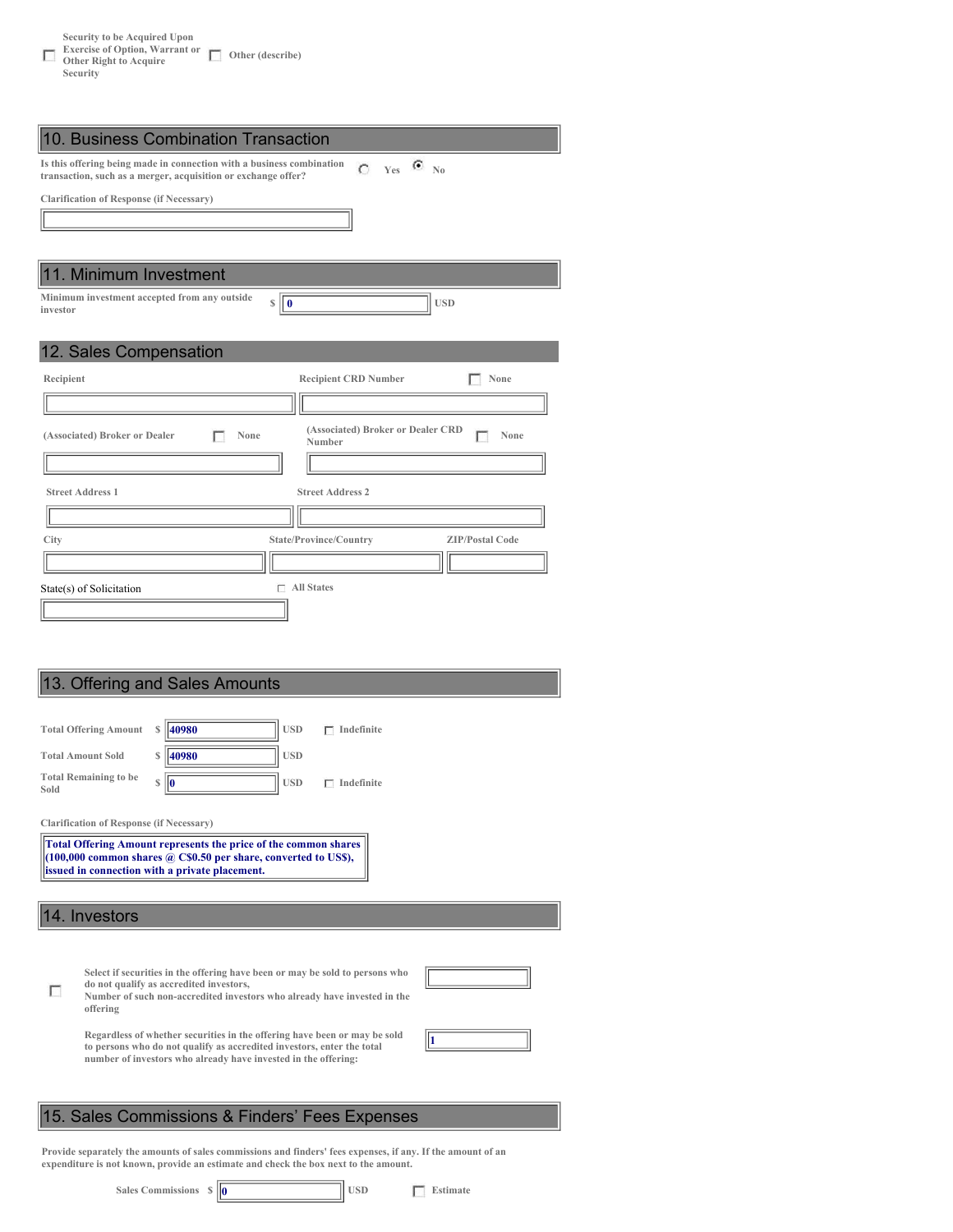|  | Security to be Acquired Upon<br>Exercise of Option, Warrant or $\blacksquare$<br><b>Other Right to Acquire</b><br>Security |  | Other (describe) |
|--|----------------------------------------------------------------------------------------------------------------------------|--|------------------|
|--|----------------------------------------------------------------------------------------------------------------------------|--|------------------|

| 10. Business Combination Transaction                                                                                                                                                               |
|----------------------------------------------------------------------------------------------------------------------------------------------------------------------------------------------------|
| Is this offering being made in connection with a business combination<br>$C$ Yes $C$ No<br>transaction, such as a merger, acquisition or exchange offer?                                           |
| <b>Clarification of Response (if Necessary)</b>                                                                                                                                                    |
|                                                                                                                                                                                                    |
|                                                                                                                                                                                                    |
| 11. Minimum Investment                                                                                                                                                                             |
| Minimum investment accepted from any outside.<br>$\parallel$ 0<br><b>USD</b><br>investor                                                                                                           |
|                                                                                                                                                                                                    |
| 12. Sales Compensation                                                                                                                                                                             |
| Recipient<br><b>Recipient CRD Number</b><br>None                                                                                                                                                   |
|                                                                                                                                                                                                    |
| (Associated) Broker or Dealer CRD<br>(Associated) Broker or Dealer<br>None<br>None<br>Number                                                                                                       |
|                                                                                                                                                                                                    |
| <b>Street Address 1</b><br><b>Street Address 2</b>                                                                                                                                                 |
|                                                                                                                                                                                                    |
| City<br>State/Province/Country<br><b>ZIP/Postal Code</b>                                                                                                                                           |
|                                                                                                                                                                                                    |
| State(s) of Solicitation<br>$\Box$ All States                                                                                                                                                      |
|                                                                                                                                                                                                    |
|                                                                                                                                                                                                    |
| 13. Offering and Sales Amounts                                                                                                                                                                     |
|                                                                                                                                                                                                    |
| 40980<br><b>USD</b><br>$\Box$ Indefinite<br><b>Total Offering Amount</b><br>s                                                                                                                      |
| 40980<br><b>USD</b><br><b>Total Amount Sold</b><br>s                                                                                                                                               |
| <b>Total Remaining to be</b><br><b>USD</b><br>$\Box$ Indefinite<br>S<br>10<br>Sold                                                                                                                 |
|                                                                                                                                                                                                    |
| <b>Clarification of Response (if Necessary)</b><br><b>Total Offering Amount represents the price of the common shares</b>                                                                          |
| $(100,000$ common shares $@$ C\$0.50 per share, converted to US\$),<br>issued in connection with a private placement.                                                                              |
|                                                                                                                                                                                                    |
| 14. Investors                                                                                                                                                                                      |
|                                                                                                                                                                                                    |
| Select if securities in the offering have been or may be sold to persons who                                                                                                                       |
| do not qualify as accredited investors,<br>П<br>Number of such non-accredited investors who already have invested in the                                                                           |
| offering                                                                                                                                                                                           |
| Regardless of whether securities in the offering have been or may be sold<br>1<br>to persons who do not qualify as accredited investors, enter the total                                           |
| number of investors who already have invested in the offering:                                                                                                                                     |
|                                                                                                                                                                                                    |
| 15. Sales Commissions & Finders' Fees Expenses                                                                                                                                                     |
| Provide separately the amounts of sales commissions and finders' fees expenses, if any. If the amount of an<br>expenditure is not known, provide an estimate and check the box next to the amount. |

**Sales Commissions \$ 0 USD Estimate**